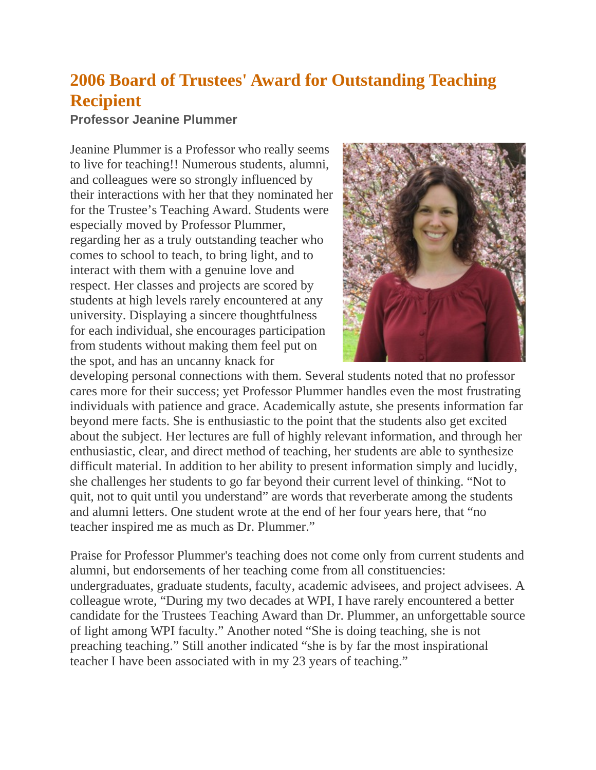## **2006 Board of Trustees' Award for Outstanding Teaching Recipient**

## **Professor Jeanine Plummer**

Jeanine Plummer is a Professor who really seems to live for teaching!! Numerous students, alumni, and colleagues were so strongly influenced by their interactions with her that they nominated her for the Trustee's Teaching Award. Students were especially moved by Professor Plummer, regarding her as a truly outstanding teacher who comes to school to teach, to bring light, and to interact with them with a genuine love and respect. Her classes and projects are scored by students at high levels rarely encountered at any university. Displaying a sincere thoughtfulness for each individual, she encourages participation from students without making them feel put on the spot, and has an uncanny knack for



developing personal connections with them. Several students noted that no professor cares more for their success; yet Professor Plummer handles even the most frustrating individuals with patience and grace. Academically astute, she presents information far beyond mere facts. She is enthusiastic to the point that the students also get excited about the subject. Her lectures are full of highly relevant information, and through her enthusiastic, clear, and direct method of teaching, her students are able to synthesize difficult material. In addition to her ability to present information simply and lucidly, she challenges her students to go far beyond their current level of thinking. "Not to quit, not to quit until you understand" are words that reverberate among the students and alumni letters. One student wrote at the end of her four years here, that "no teacher inspired me as much as Dr. Plummer."

Praise for Professor Plummer's teaching does not come only from current students and alumni, but endorsements of her teaching come from all constituencies: undergraduates, graduate students, faculty, academic advisees, and project advisees. A colleague wrote, "During my two decades at WPI, I have rarely encountered a better candidate for the Trustees Teaching Award than Dr. Plummer, an unforgettable source of light among WPI faculty." Another noted "She is doing teaching, she is not preaching teaching." Still another indicated "she is by far the most inspirational teacher I have been associated with in my 23 years of teaching."